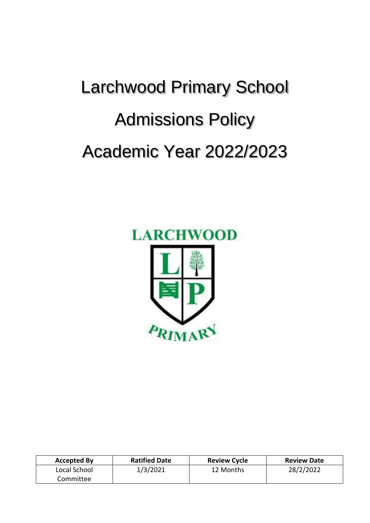# Larchwood Primary School Admissions Policy Academic Year 2022/2023



| <b>Accepted By</b> | <b>Ratified Date</b> | <b>Review Cycle</b> | <b>Review Date</b> |
|--------------------|----------------------|---------------------|--------------------|
| Local School       | 1/3/2021             | 12 Months           | 28/2/2022          |
| Committee          |                      |                     |                    |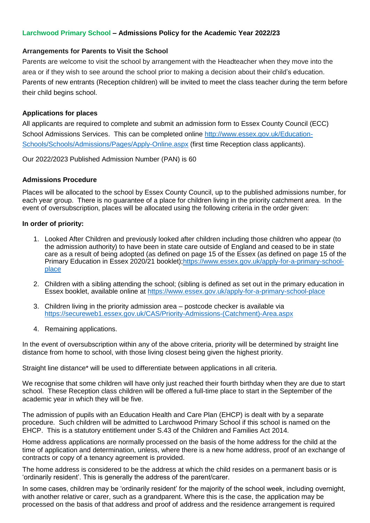# **Larchwood Primary School – Admissions Policy for the Academic Year 2022/23**

## **Arrangements for Parents to Visit the School**

Parents are welcome to visit the school by arrangement with the Headteacher when they move into the area or if they wish to see around the school prior to making a decision about their child's education. Parents of new entrants (Reception children) will be invited to meet the class teacher during the term before their child begins school.

# **Applications for places**

All applicants are required to complete and submit an admission form to Essex County Council (ECC) School Admissions Services. This can be completed online [http://www.essex.gov.uk/Education-](http://www.essex.gov.uk/Education-Schools/Schools/Admissions/Pages/Apply-Online.aspx)[Schools/Schools/Admissions/Pages/Apply-Online.aspx](http://www.essex.gov.uk/Education-Schools/Schools/Admissions/Pages/Apply-Online.aspx) (first time Reception class applicants).

Our 2022/2023 Published Admission Number (PAN) is 60

## **Admissions Procedure**

Places will be allocated to the school by Essex County Council, up to the published admissions number, for each year group. There is no guarantee of a place for children living in the priority catchment area. In the event of oversubscription, places will be allocated using the following criteria in the order given:

## **In order of priority:**

- 1. Looked After Children and previously looked after children including those children who appear (to the admission authority) to have been in state care outside of England and ceased to be in state care as a result of being adopted (as defined on page 15 of the Essex (as defined on page 15 of the Primary Education in Essex 2020/21 booklet)[;https://www.essex.gov.uk/apply-for-a-primary-school](https://www.essex.gov.uk/apply-for-a-primary-school-place)[place](https://www.essex.gov.uk/apply-for-a-primary-school-place)
- 2. Children with a sibling attending the school; (sibling is defined as set out in the primary education in Essex booklet, available online at <https://www.essex.gov.uk/apply-for-a-primary-school-place>
- 3. Children living in the priority admission area postcode checker is available via [https://secureweb1.essex.gov.uk/CAS/Priority-Admissions-\(Catchment\)-Area.aspx](https://secureweb1.essex.gov.uk/CAS/Priority-Admissions-(Catchment)-Area.aspx)
- 4. Remaining applications.

In the event of oversubscription within any of the above criteria, priority will be determined by straight line distance from home to school, with those living closest being given the highest priority.

Straight line distance\* will be used to differentiate between applications in all criteria.

We recognise that some children will have only just reached their fourth birthday when they are due to start school. These Reception class children will be offered a full-time place to start in the September of the academic year in which they will be five.

The admission of pupils with an Education Health and Care Plan (EHCP) is dealt with by a separate procedure. Such children will be admitted to Larchwood Primary School if this school is named on the EHCP. This is a statutory entitlement under S.43 of the Children and Families Act 2014.

Home address applications are normally processed on the basis of the home address for the child at the time of application and determination, unless, where there is a new home address, proof of an exchange of contracts or copy of a tenancy agreement is provided.

The home address is considered to be the address at which the child resides on a permanent basis or is 'ordinarily resident'. This is generally the address of the parent/carer.

In some cases, children may be 'ordinarily resident' for the majority of the school week, including overnight, with another relative or carer, such as a grandparent. Where this is the case, the application may be processed on the basis of that address and proof of address and the residence arrangement is required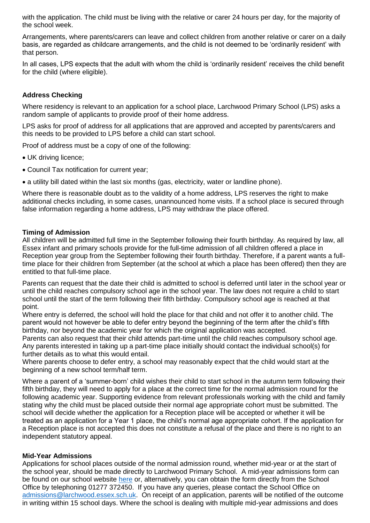with the application. The child must be living with the relative or carer 24 hours per day, for the majority of the school week.

Arrangements, where parents/carers can leave and collect children from another relative or carer on a daily basis, are regarded as childcare arrangements, and the child is not deemed to be 'ordinarily resident' with that person.

In all cases, LPS expects that the adult with whom the child is 'ordinarily resident' receives the child benefit for the child (where eligible).

## **Address Checking**

Where residency is relevant to an application for a school place, Larchwood Primary School (LPS) asks a random sample of applicants to provide proof of their home address.

LPS asks for proof of address for all applications that are approved and accepted by parents/carers and this needs to be provided to LPS before a child can start school.

Proof of address must be a copy of one of the following:

- UK driving licence;
- Council Tax notification for current year;
- a utility bill dated within the last six months (gas, electricity, water or landline phone).

Where there is reasonable doubt as to the validity of a home address, LPS reserves the right to make additional checks including, in some cases, unannounced home visits. If a school place is secured through false information regarding a home address, LPS may withdraw the place offered.

### **Timing of Admission**

All children will be admitted full time in the September following their fourth birthday. As required by law, all Essex infant and primary schools provide for the full-time admission of all children offered a place in Reception year group from the September following their fourth birthday. Therefore, if a parent wants a fulltime place for their children from September (at the school at which a place has been offered) then they are entitled to that full-time place.

Parents can request that the date their child is admitted to school is deferred until later in the school year or until the child reaches compulsory school age in the school year. The law does not require a child to start school until the start of the term following their fifth birthday. Compulsory school age is reached at that point.

Where entry is deferred, the school will hold the place for that child and not offer it to another child. The parent would not however be able to defer entry beyond the beginning of the term after the child's fifth birthday, nor beyond the academic year for which the original application was accepted.

Parents can also request that their child attends part-time until the child reaches compulsory school age. Any parents interested in taking up a part-time place initially should contact the individual school(s) for further details as to what this would entail.

Where parents choose to defer entry, a school may reasonably expect that the child would start at the beginning of a new school term/half term.

Where a parent of a 'summer-born' child wishes their child to start school in the autumn term following their fifth birthday, they will need to apply for a place at the correct time for the normal admission round for the following academic year. Supporting evidence from relevant professionals working with the child and family stating why the child must be placed outside their normal age appropriate cohort must be submitted. The school will decide whether the application for a Reception place will be accepted or whether it will be treated as an application for a Year 1 place, the child's normal age appropriate cohort. If the application for a Reception place is not accepted this does not constitute a refusal of the place and there is no right to an independent statutory appeal.

## **Mid-Year Admissions**

Applications for school places outside of the normal admission round, whether mid-year or at the start of the school year, should be made directly to Larchwood Primary School. A mid-year admissions form can be found on our school website [here](https://www.larchwoodprimary.co.uk/assets/Uploads/Mid-Year-Application-Form-Final.pdf) or, alternatively, you can obtain the form directly from the School Office by telephoning 01277 372450. If you have any queries, please contact the School Office on [admissions@larchwood.essex.sch.uk.](mailto:admissions@larchwood.essex.sch.uk) On receipt of an application, parents will be notified of the outcome in writing within 15 school days. Where the school is dealing with multiple mid-year admissions and does